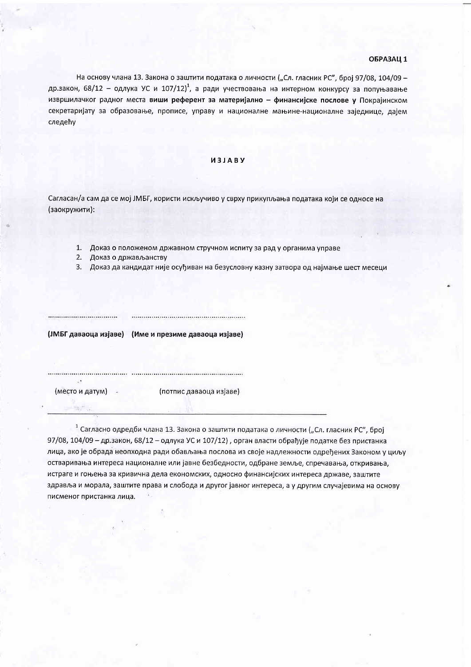## ОБРАЗАЦ 1

На основу члана 13. Закона о заштити података о личности ("Сл. гласник РС", број 97/08, 104/09 др.закон, 68/12 - одлука УС и 107/12)<sup>1</sup>, а ради учествовања на интерном конкурсу за попуњавање извршилачког радног места виши референт за материјално - финансијске послове у Покрајинском секретаријату за образовање, прописе, управу и националне мањине-националне заједнице, дајем следећу

### *M3JABY*

Сагласан/а сам да се мој ЈМБГ, користи искључиво у сврху прикупљања података који се односе на (заокружити):

- 1. Доказ о положеном државном стручном испиту за рад у органима управе
- 2. Доказ о држављанству
- 3. Доказ да кандидат није осуђиван на безусловну казну затвора од најмање шест месеци

(ЈМБГ даваоца изјаве) (Име и презиме даваоца изјаве)

(место и датум)

(потпис даваоца изјаве)

<sup>1</sup> Сагласно одредби члана 13. Закона о заштити података о личности ("Сл. гласник РС", број 97/08, 104/09 - др.закон, 68/12 - одлука УС и 107/12), орган власти обрађује податке без пристанка лица, ако је обрада неопходна ради обављања послова из своје надлежности одређених Законом у циљу остваривања интереса националне или јавне безбедности, одбране земље, спречавања, откривања, истраге и гоњења за кривична дела економских, односно финансијских интереса државе, заштите здравља и морала, заштите права и слобода и другог јавног интереса, а у другим случајевима на основу писменог пристанка лица.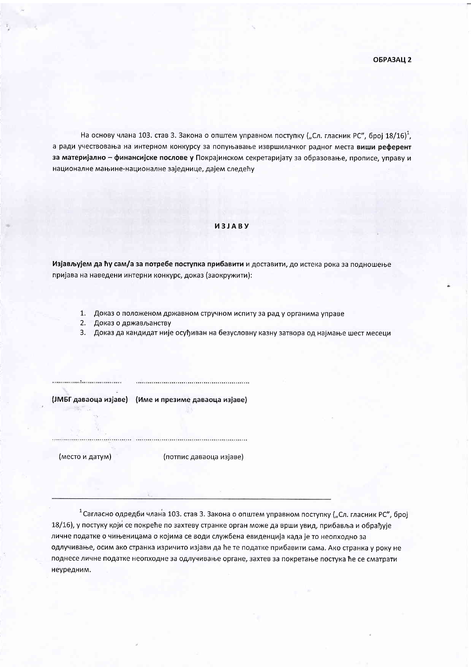На основу члана 103. став 3. Закона о општем управном поступку ("Сл. гласник РС", број 18/16)<sup>1</sup>, а ради учествовања на интерном конкурсу за попуњавање извршилачког радног места виши референт за материјално - финансијске послове у Покрајинском секретаријату за образовање, прописе, управу и националне мањине-националне заједнице, дајем следећу

#### *M3JABY*

Изјављујем да ћу сам/а за потребе поступка прибавити и доставити, до истека рока за подношење пријава на наведени интерни конкурс, доказ (заокружити):

- 1. Доказ о положеном државном стручном испиту за рад у органима управе
- 2. Доказ о држављанству
- 3. Доказ да кандидат није осуђиван на безусловну казну затвора од најмање шест месеци

(ЈМБГ даваоца изјаве) (Име и презиме даваоца изјаве)

(место и датум)

(потпис даваоца изјаве)

<sup>1</sup> Сагласно одредби члана 103. став 3. Закона о општем управном поступку ("Сл. гласник РС", број 18/16), у постуку који се покреће по захтеву странке орган може да врши увид, прибавља и обрађује личне податке о чињеницама о којима се води службена евиденција када је то неопходно за одлучивање, осим ако странка изричито изјави да ће те податке прибавити сама. Ако странка у року не поднесе личне податке неопходне за одлучивање органе, захтев за покретање постука ће се сматрати неуредним.